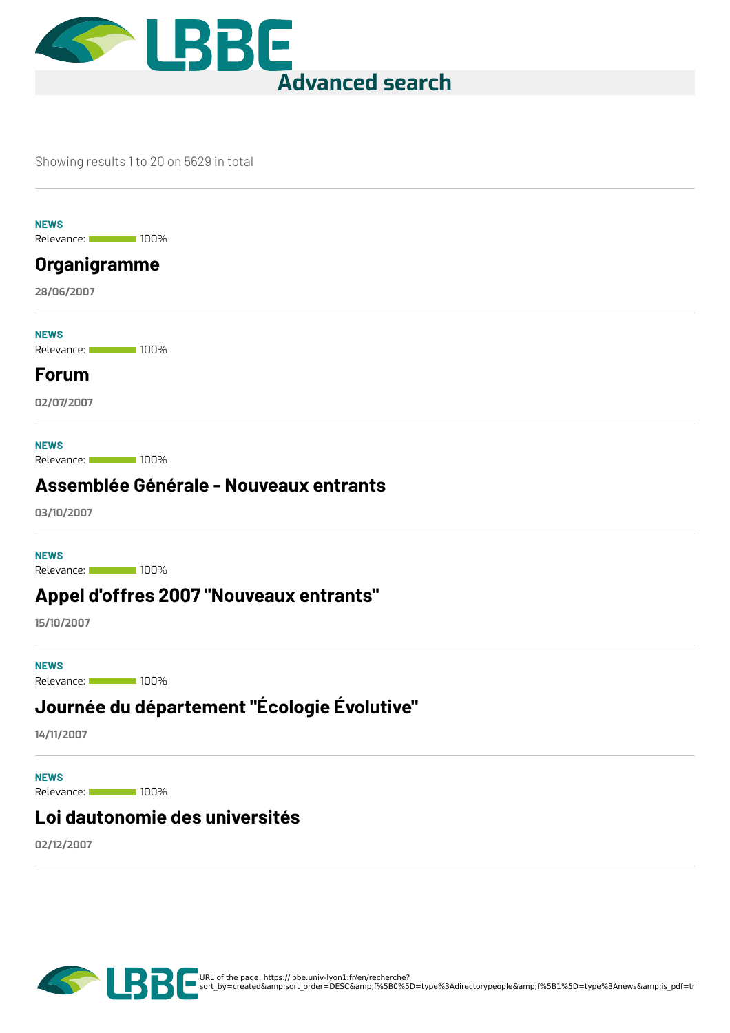

#### Showing results 1 to 20 on 5629 in total

**NEWS**

Relevance: 100%

### **[Organigramme](https://lbbe.univ-lyon1.fr/en/node/5182)**

**28/06/2007**

Relevance: 100% **NEWS**

#### **[Forum](https://lbbe.univ-lyon1.fr/en/node/5183)**

**02/07/2007**

**NEWS**

Relevance: 100%

#### **[Assemblée](https://lbbe.univ-lyon1.fr/en/node/5184) Générale - Nouveaux entrants**

**03/10/2007**

**NEWS**

Relevance: 100%

#### **Appel d'offres 2007 ["Nouveaux](https://lbbe.univ-lyon1.fr/en/node/5185) entrants"**

**15/10/2007**

Relevance: 100% **NEWS**

# **Journée du [département](https://lbbe.univ-lyon1.fr/en/node/5187) "Écologie Évolutive"**

**14/11/2007**

Relevance: 100% **NEWS**

#### **Loi [dautonomie](https://lbbe.univ-lyon1.fr/en/node/5186) des universités**

**02/12/2007**

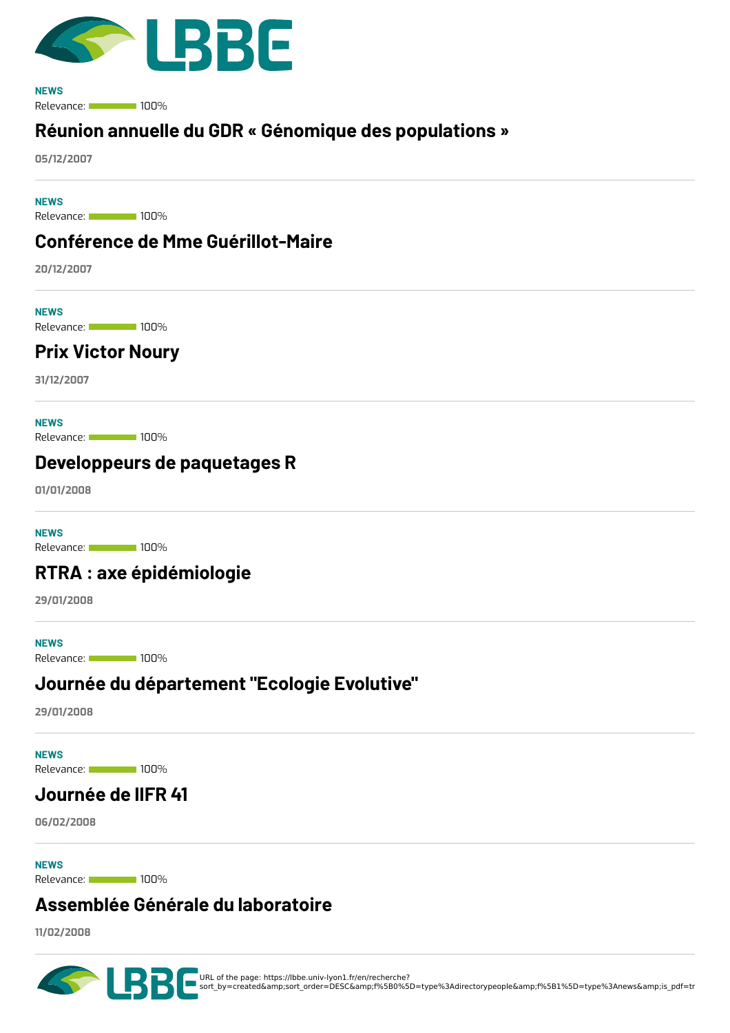

Relevance: 100% **NEWS**

### **Réunion annuelle du GDR « Génomique des [populations](https://lbbe.univ-lyon1.fr/en/node/5188) »**

**05/12/2007**

Relevance: 100% **NEWS**

#### **Conférence de Mme [Guérillot-Maire](https://lbbe.univ-lyon1.fr/en/node/5190)**

**20/12/2007**

**NEWS**

Relevance: 100%

### **Prix [Victor](https://lbbe.univ-lyon1.fr/en/node/5189) Noury**

**31/12/2007**

**NEWS**

Relevance: 100%

#### **[Developpeurs](https://lbbe.univ-lyon1.fr/en/node/5191) de paquetages R**

**01/01/2008**

**NEWS**

Relevance: 100%

### **RTRA : axe [épidémiologie](https://lbbe.univ-lyon1.fr/en/node/5194)**

**29/01/2008**

Relevance: 100% **NEWS**

#### **Journée du [département](https://lbbe.univ-lyon1.fr/en/node/5192) "Ecologie Evolutive"**

**29/01/2008**

**NEWS**

Relevance: 100%

### **[Journée](https://lbbe.univ-lyon1.fr/en/node/5193) de lIFR 41**

**06/02/2008**

**NEWS**

Relevance: 100%

### **[Assemblée](https://lbbe.univ-lyon1.fr/en/node/5195) Générale du laboratoire**

**11/02/2008**

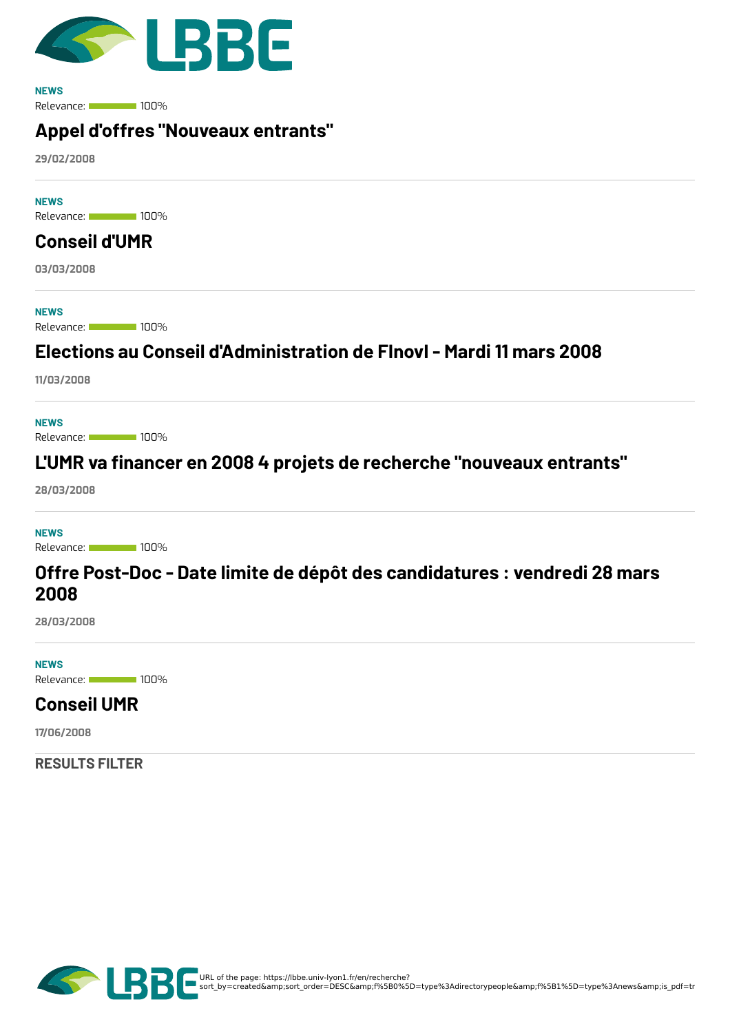

Relevance: 100% **NEWS**

### **Appel d'offres ["Nouveaux](https://lbbe.univ-lyon1.fr/en/node/5197) entrants"**

**29/02/2008**

Relevance: 100% **NEWS**

# **[Conseil](https://lbbe.univ-lyon1.fr/en/node/5196) d'UMR**

**03/03/2008**

**NEWS**

Relevance: 100%

### **Elections au Conseil [d'Administration](https://lbbe.univ-lyon1.fr/en/node/5199) de FInovI - Mardi 11 mars 2008**

**11/03/2008**

Relevance: 100% **NEWS**

## **L'UMR va 8nancer en 2008 4 projets de recherche ["nouveaux](https://lbbe.univ-lyon1.fr/en/node/5198) entrants"**

**28/03/2008**

**NEWS**

Relevance: 100%

#### **Offre Post-Doc - Date limite de dépôt des [candidatures](https://lbbe.univ-lyon1.fr/en/node/5200) : vendredi 28 mars 2008**

**28/03/2008**

Relevance: 100% **NEWS**

### **[Conseil](https://lbbe.univ-lyon1.fr/en/node/5203) UMR**

**17/06/2008**

**RESULTS FILTER**

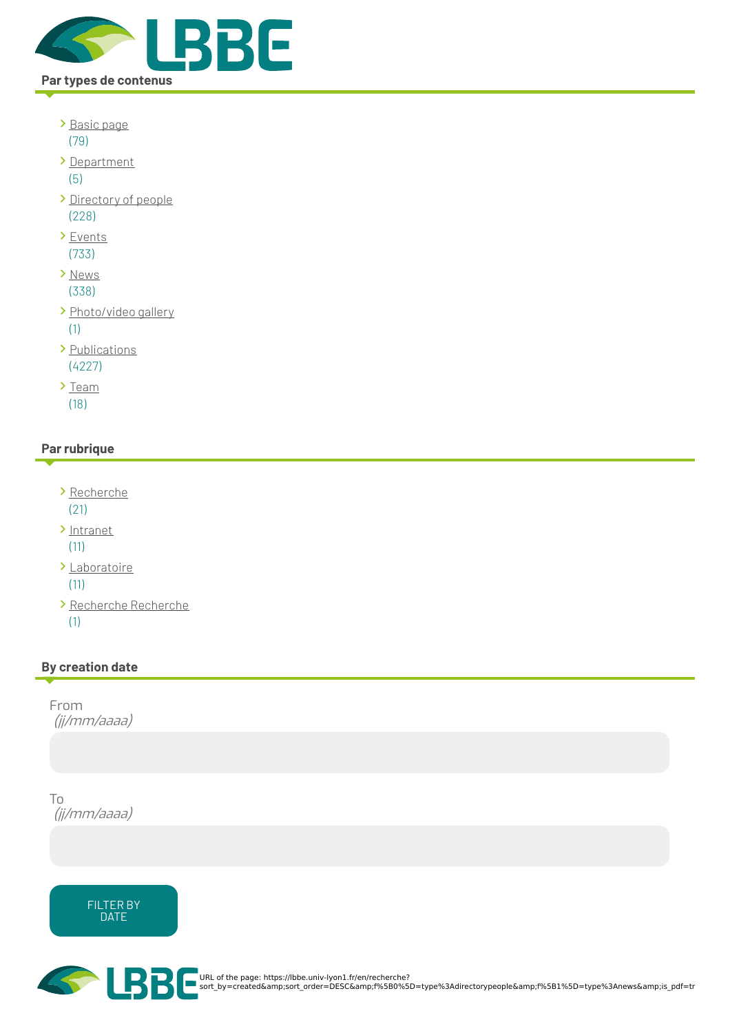

- [Basic](https://lbbe.univ-lyon1.fr/en/recherche?sort_by=created&%253Bsort_order=DESC&%253Bf%255B0%255D=type%253Adirectorypeople&%253Bf%255B1%255D=type%253Anews&%253Bis_pdf=true&f%255B0%255D=type%253Apage) page (79)
- [Department](https://lbbe.univ-lyon1.fr/en/recherche?sort_by=created&%253Bsort_order=DESC&%253Bf%255B0%255D=type%253Adirectorypeople&%253Bf%255B1%255D=type%253Anews&%253Bis_pdf=true&f%255B0%255D=type%253Adepartment) (5)
- [Directory](https://lbbe.univ-lyon1.fr/en/recherche?sort_by=created&%253Bsort_order=DESC&%253Bf%255B0%255D=type%253Adirectorypeople&%253Bf%255B1%255D=type%253Anews&%253Bis_pdf=true&f%255B0%255D=type%253Adirectorypeople) of people (228)
- > [Events](https://lbbe.univ-lyon1.fr/en/recherche?sort_by=created&%253Bsort_order=DESC&%253Bf%255B0%255D=type%253Adirectorypeople&%253Bf%255B1%255D=type%253Anews&%253Bis_pdf=true&f%255B0%255D=type%253Aevent) (733)
- > [News](https://lbbe.univ-lyon1.fr/en/recherche?sort_by=created&%253Bsort_order=DESC&%253Bf%255B0%255D=type%253Adirectorypeople&%253Bf%255B1%255D=type%253Anews&%253Bis_pdf=true&f%255B0%255D=type%253Anews) (338)
- > [Photo/video](https://lbbe.univ-lyon1.fr/en/recherche?sort_by=created&%253Bsort_order=DESC&%253Bf%255B0%255D=type%253Adirectorypeople&%253Bf%255B1%255D=type%253Anews&%253Bis_pdf=true&f%255B0%255D=type%253Agallery) gallery (1)
- > [Publications](https://lbbe.univ-lyon1.fr/en/recherche?sort_by=created&%253Bsort_order=DESC&%253Bf%255B0%255D=type%253Adirectorypeople&%253Bf%255B1%255D=type%253Anews&%253Bis_pdf=true&f%255B0%255D=type%253Apublications) (4227)
- $\sum_{i=1}^{n}$ (18)

#### **Par rubrique**

- [Recherche](https://lbbe.univ-lyon1.fr/en/recherche?sort_by=created&%253Bsort_order=DESC&%253Bf%255B0%255D=type%253Adirectorypeople&%253Bf%255B1%255D=type%253Anews&%253Bis_pdf=true&f%255B0%255D=rubrique%253ARecherche) (21)
- [Intranet](https://lbbe.univ-lyon1.fr/en/recherche?sort_by=created&%253Bsort_order=DESC&%253Bf%255B0%255D=type%253Adirectorypeople&%253Bf%255B1%255D=type%253Anews&%253Bis_pdf=true&f%255B0%255D=rubrique%253AIntranet)

(11)

- [Laboratoire](https://lbbe.univ-lyon1.fr/en/recherche?sort_by=created&%253Bsort_order=DESC&%253Bf%255B0%255D=type%253Adirectorypeople&%253Bf%255B1%255D=type%253Anews&%253Bis_pdf=true&f%255B0%255D=rubrique%253ALaboratoire) (11)
- [Recherche](https://lbbe.univ-lyon1.fr/en/recherche?sort_by=created&%253Bsort_order=DESC&%253Bf%255B0%255D=type%253Adirectorypeople&%253Bf%255B1%255D=type%253Anews&%253Bis_pdf=true&f%255B0%255D=rubrique%253ARecherche%20Recherche) Recherche (1)

#### **By creation date**

From (jj/mm/aaaa)

To (jj/mm/aaaa)





URL of the page: https://lbbe.univ-lyon1.fr/en/recherche?<br>sort\_by=created&amp;sort\_order=DESC&amp;f%5B0%5D=type%3Adirectorypeople&amp;f%5B1%5D=type%3Anews&amp;is\_pdf=tr